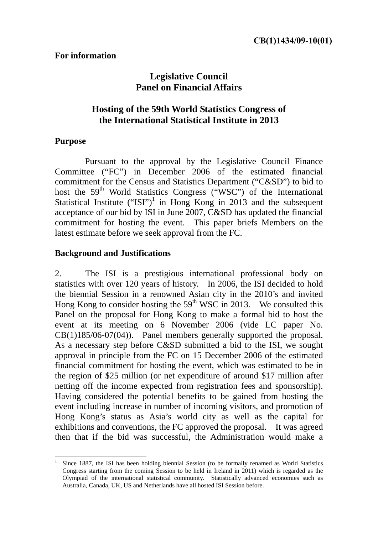# **Legislative Council Panel on Financial Affairs**

# **Hosting of the 59th World Statistics Congress of the International Statistical Institute in 2013**

### **Purpose**

Pursuant to the approval by the Legislative Council Finance Committee ("FC") in December 2006 of the estimated financial commitment for the Census and Statistics Department ("C&SD") to bid to host the 59<sup>th</sup> World Statistics Congress ("WSC") of the International Statistical Institute ("ISI")<sup>1</sup> in Hong Kong in 2013 and the subsequent acceptance of our bid by ISI in June 2007, C&SD has updated the financial commitment for hosting the event. This paper briefs Members on the latest estimate before we seek approval from the FC.

## **Background and Justifications**

2. The ISI is a prestigious international professional body on statistics with over 120 years of history. In 2006, the ISI decided to hold the biennial Session in a renowned Asian city in the 2010's and invited Hong Kong to consider hosting the  $59<sup>th</sup>$  WSC in 2013. We consulted this Panel on the proposal for Hong Kong to make a formal bid to host the event at its meeting on 6 November 2006 (vide LC paper No. CB(1)185/06-07(04)). Panel members generally supported the proposal. As a necessary step before C&SD submitted a bid to the ISI, we sought approval in principle from the FC on 15 December 2006 of the estimated financial commitment for hosting the event, which was estimated to be in the region of \$25 million (or net expenditure of around \$17 million after netting off the income expected from registration fees and sponsorship). Having considered the potential benefits to be gained from hosting the event including increase in number of incoming visitors, and promotion of Hong Kong's status as Asia's world city as well as the capital for exhibitions and conventions, the FC approved the proposal. It was agreed then that if the bid was successful, the Administration would make a

 $\overline{a}$ 1 Since 1887, the ISI has been holding biennial Session (to be formally renamed as World Statistics Congress starting from the coming Session to be held in Ireland in 2011) which is regarded as the Olympiad of the international statistical community. Statistically advanced economies such as Australia, Canada, UK, US and Netherlands have all hosted ISI Session before.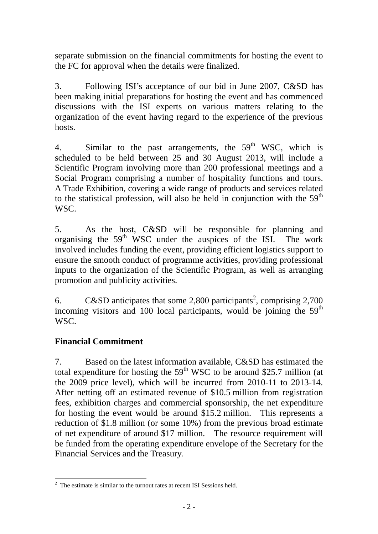separate submission on the financial commitments for hosting the event to the FC for approval when the details were finalized.

3. Following ISI's acceptance of our bid in June 2007, C&SD has been making initial preparations for hosting the event and has commenced discussions with the ISI experts on various matters relating to the organization of the event having regard to the experience of the previous hosts.

4. Similar to the past arrangements, the  $59<sup>th</sup>$  WSC, which is scheduled to be held between 25 and 30 August 2013, will include a Scientific Program involving more than 200 professional meetings and a Social Program comprising a number of hospitality functions and tours. A Trade Exhibition, covering a wide range of products and services related to the statistical profession, will also be held in conjunction with the  $59<sup>th</sup>$ WSC.

5. As the host, C&SD will be responsible for planning and organising the 59<sup>th</sup> WSC under the auspices of the ISI. The work involved includes funding the event, providing efficient logistics support to ensure the smooth conduct of programme activities, providing professional inputs to the organization of the Scientific Program, as well as arranging promotion and publicity activities.

6. C&SD anticipates that some 2,800 participants<sup>2</sup>, comprising 2,700 incoming visitors and 100 local participants, would be joining the  $59<sup>th</sup>$ WSC<sup>.</sup>

## **Financial Commitment**

7. Based on the latest information available, C&SD has estimated the total expenditure for hosting the  $59<sup>th</sup>$  WSC to be around \$25.7 million (at the 2009 price level), which will be incurred from 2010-11 to 2013-14. After netting off an estimated revenue of \$10.5 million from registration fees, exhibition charges and commercial sponsorship, the net expenditure for hosting the event would be around \$15.2 million. This represents a reduction of \$1.8 million (or some 10%) from the previous broad estimate of net expenditure of around \$17 million. The resource requirement will be funded from the operating expenditure envelope of the Secretary for the Financial Services and the Treasury.

<sup>&</sup>lt;sup>2</sup> The estimate is similar to the turnout rates at recent ISI Sessions held.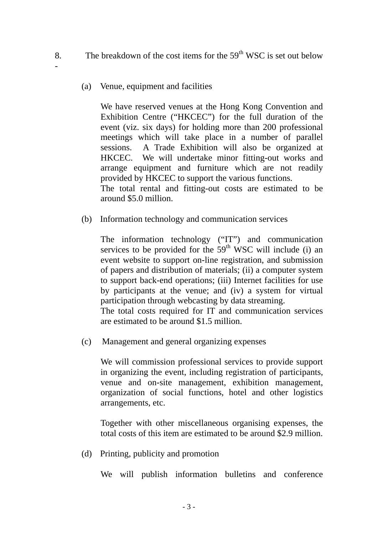- 8. The breakdown of the cost items for the  $59<sup>th</sup>$  WSC is set out below
	- (a) Venue, equipment and facilities

-

We have reserved venues at the Hong Kong Convention and Exhibition Centre ("HKCEC") for the full duration of the event (viz. six days) for holding more than 200 professional meetings which will take place in a number of parallel sessions. A Trade Exhibition will also be organized at HKCEC. We will undertake minor fitting-out works and arrange equipment and furniture which are not readily provided by HKCEC to support the various functions. The total rental and fitting-out costs are estimated to be

around \$5.0 million.

(b) Information technology and communication services

The information technology ("IT") and communication services to be provided for the  $59<sup>th</sup>$  WSC will include (i) an event website to support on-line registration, and submission of papers and distribution of materials; (ii) a computer system to support back-end operations; (iii) Internet facilities for use by participants at the venue; and (iv) a system for virtual participation through webcasting by data streaming.

The total costs required for IT and communication services are estimated to be around \$1.5 million.

(c) Management and general organizing expenses

We will commission professional services to provide support in organizing the event, including registration of participants, venue and on-site management, exhibition management, organization of social functions, hotel and other logistics arrangements, etc.

Together with other miscellaneous organising expenses, the total costs of this item are estimated to be around \$2.9 million.

(d) Printing, publicity and promotion

We will publish information bulletins and conference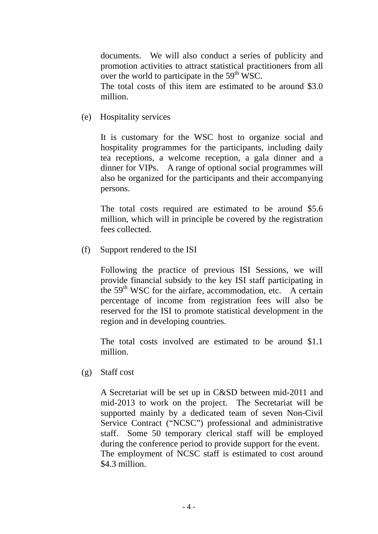documents. We will also conduct a series of publicity and promotion activities to attract statistical practitioners from all over the world to participate in the  $59<sup>th</sup>$  WSC.

The total costs of this item are estimated to be around \$3.0 million.

(e) Hospitality services

It is customary for the WSC host to organize social and hospitality programmes for the participants, including daily tea receptions, a welcome reception, a gala dinner and a dinner for VIPs. A range of optional social programmes will also be organized for the participants and their accompanying persons.

The total costs required are estimated to be around \$5.6 million, which will in principle be covered by the registration fees collected.

(f) Support rendered to the ISI

Following the practice of previous ISI Sessions, we will provide financial subsidy to the key ISI staff participating in the  $59<sup>th</sup>$  WSC for the airfare, accommodation, etc. A certain percentage of income from registration fees will also be reserved for the ISI to promote statistical development in the region and in developing countries.

The total costs involved are estimated to be around \$1.1 million.

(g) Staff cost

A Secretariat will be set up in C&SD between mid-2011 and mid-2013 to work on the project. The Secretariat will be supported mainly by a dedicated team of seven Non-Civil Service Contract ("NCSC") professional and administrative staff. Some 50 temporary clerical staff will be employed during the conference period to provide support for the event. The employment of NCSC staff is estimated to cost around \$4.3 million.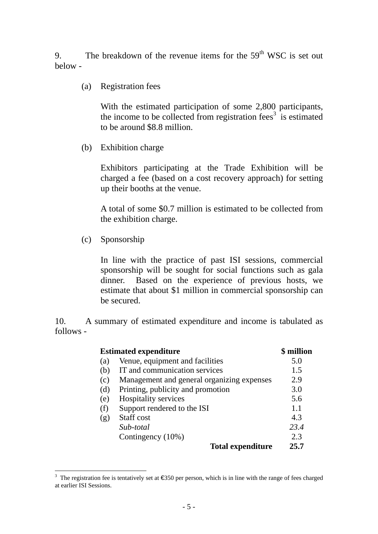9. The breakdown of the revenue items for the  $59<sup>th</sup>$  WSC is set out below -

(a) Registration fees

With the estimated participation of some 2,800 participants, the income to be collected from registration fees<sup>3</sup> is estimated to be around \$8.8 million.

(b) Exhibition charge

Exhibitors participating at the Trade Exhibition will be charged a fee (based on a cost recovery approach) for setting up their booths at the venue.

A total of some \$0.7 million is estimated to be collected from the exhibition charge.

(c) Sponsorship

 $\overline{a}$ 

In line with the practice of past ISI sessions, commercial sponsorship will be sought for social functions such as gala dinner. Based on the experience of previous hosts, we estimate that about \$1 million in commercial sponsorship can be secured.

10. A summary of estimated expenditure and income is tabulated as follows -

| <b>Estimated expenditure</b> | \$ million                                 |      |
|------------------------------|--------------------------------------------|------|
| (a)                          | Venue, equipment and facilities            | 5.0  |
| (b)                          | IT and communication services              | 1.5  |
| (c)                          | Management and general organizing expenses | 2.9  |
| (d)                          | Printing, publicity and promotion          | 3.0  |
| (e)                          | Hospitality services                       | 5.6  |
| (f)                          | Support rendered to the ISI                | 1.1  |
| (g)                          | Staff cost                                 | 4.3  |
|                              | Sub-total                                  | 23.4 |
|                              | Contingency (10%)                          | 2.3  |
|                              | <b>Total expenditure</b>                   | 25.7 |

<sup>&</sup>lt;sup>3</sup> The registration fee is tentatively set at  $\epsilon$ 350 per person, which is in line with the range of fees charged at earlier ISI Sessions.